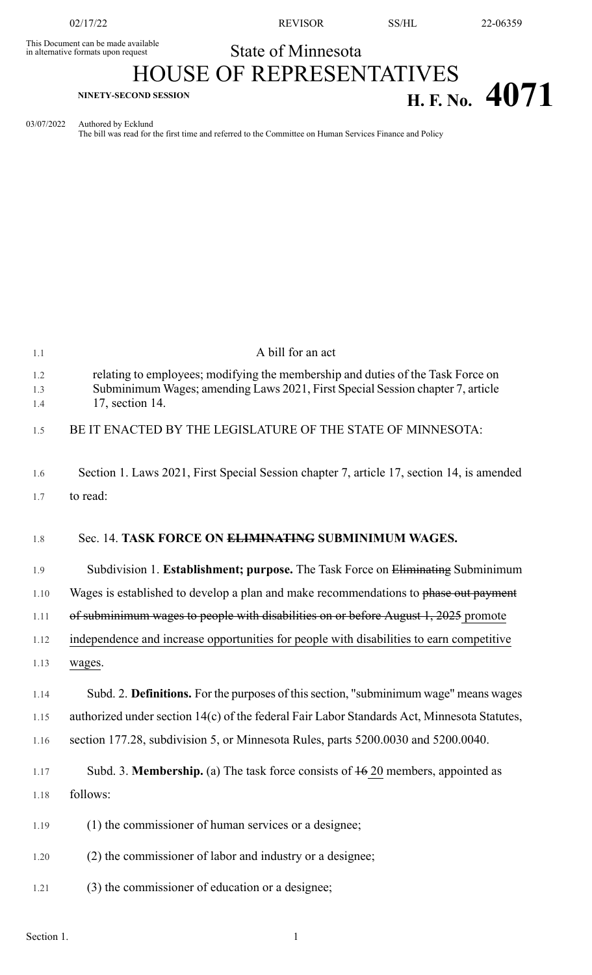This Document can be made available<br>in alternative formats upon request

02/17/22 REVISOR SS/HL 22-06359

## State of Minnesota

## HOUSE OF REPRESENTATIVES **H. F. No. 4071**

03/07/2022 Authored by Ecklund

The bill was read for the first time and referred to the Committee on Human Services Finance and Policy

| 1.1               | A bill for an act                                                                                                                                                                    |
|-------------------|--------------------------------------------------------------------------------------------------------------------------------------------------------------------------------------|
| 1.2<br>1.3<br>1.4 | relating to employees; modifying the membership and duties of the Task Force on<br>Subminimum Wages; amending Laws 2021, First Special Session chapter 7, article<br>17, section 14. |
| 1.5               | BE IT ENACTED BY THE LEGISLATURE OF THE STATE OF MINNESOTA:                                                                                                                          |
| 1.6               | Section 1. Laws 2021, First Special Session chapter 7, article 17, section 14, is amended                                                                                            |
| 1.7               | to read:                                                                                                                                                                             |
| 1.8               | Sec. 14. TASK FORCE ON ELIMINATING SUBMINIMUM WAGES.                                                                                                                                 |
| 1.9               | Subdivision 1. Establishment; purpose. The Task Force on Eliminating Subminimum                                                                                                      |
| 1.10              | Wages is established to develop a plan and make recommendations to phase out payment                                                                                                 |
| 1.11              | of subminimum wages to people with disabilities on or before August 1, 2025 promote                                                                                                  |
| 1.12              | independence and increase opportunities for people with disabilities to earn competitive                                                                                             |
| 1.13              | wages.                                                                                                                                                                               |
| 1.14              | Subd. 2. Definitions. For the purposes of this section, "subminimum wage" means wages                                                                                                |
| 1.15              | authorized under section 14(c) of the federal Fair Labor Standards Act, Minnesota Statutes,                                                                                          |
| 1.16              | section 177.28, subdivision 5, or Minnesota Rules, parts 5200.0030 and 5200.0040.                                                                                                    |
| 1.17              | Subd. 3. <b>Membership.</b> (a) The task force consists of $\frac{16}{10}$ members, appointed as                                                                                     |
| 1.18              | follows:                                                                                                                                                                             |
| 1.19              | (1) the commissioner of human services or a designee;                                                                                                                                |
| 1.20              | (2) the commissioner of labor and industry or a designee;                                                                                                                            |
| 1.21              | (3) the commissioner of education or a designee;                                                                                                                                     |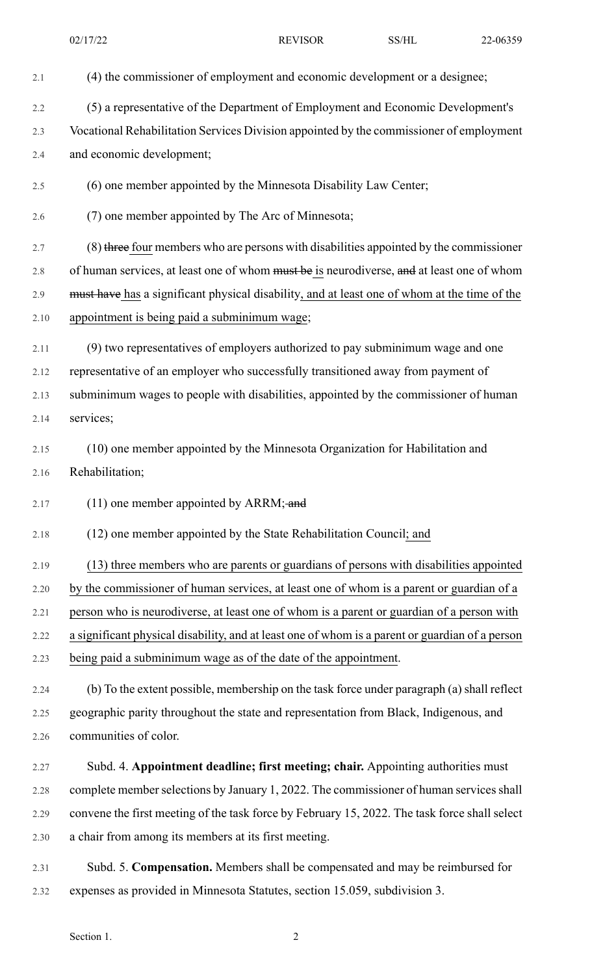| 2.1  | (4) the commissioner of employment and economic development or a designee;                      |
|------|-------------------------------------------------------------------------------------------------|
| 2.2  | (5) a representative of the Department of Employment and Economic Development's                 |
| 2.3  | Vocational Rehabilitation Services Division appointed by the commissioner of employment         |
| 2.4  | and economic development;                                                                       |
| 2.5  | (6) one member appointed by the Minnesota Disability Law Center;                                |
| 2.6  | (7) one member appointed by The Arc of Minnesota;                                               |
| 2.7  | (8) three four members who are persons with disabilities appointed by the commissioner          |
| 2.8  | of human services, at least one of whom must be is neurodiverse, and at least one of whom       |
| 2.9  | must have has a significant physical disability, and at least one of whom at the time of the    |
| 2.10 | appointment is being paid a subminimum wage;                                                    |
| 2.11 | (9) two representatives of employers authorized to pay subminimum wage and one                  |
| 2.12 | representative of an employer who successfully transitioned away from payment of                |
| 2.13 | subminimum wages to people with disabilities, appointed by the commissioner of human            |
| 2.14 | services;                                                                                       |
| 2.15 | (10) one member appointed by the Minnesota Organization for Habilitation and                    |
| 2.16 | Rehabilitation;                                                                                 |
| 2.17 | $(11)$ one member appointed by ARRM; and                                                        |
| 2.18 | (12) one member appointed by the State Rehabilitation Council; and                              |
| 2.19 | (13) three members who are parents or guardians of persons with disabilities appointed          |
| 2.20 | by the commissioner of human services, at least one of whom is a parent or guardian of a        |
| 2.21 | person who is neurodiverse, at least one of whom is a parent or guardian of a person with       |
| 2.22 | a significant physical disability, and at least one of whom is a parent or guardian of a person |
| 2.23 | being paid a subminimum wage as of the date of the appointment.                                 |
| 2.24 | (b) To the extent possible, membership on the task force under paragraph (a) shall reflect      |
| 2.25 | geographic parity throughout the state and representation from Black, Indigenous, and           |
| 2.26 | communities of color.                                                                           |
| 2.27 | Subd. 4. Appointment deadline; first meeting; chair. Appointing authorities must                |
| 2.28 | complete member selections by January 1, 2022. The commissioner of human services shall         |
| 2.29 | convene the first meeting of the task force by February 15, 2022. The task force shall select   |
| 2.30 | a chair from among its members at its first meeting.                                            |

2.31 Subd. 5. **Compensation.** Members shall be compensated and may be reimbursed for 2.32 expenses as provided in Minnesota Statutes, section 15.059, subdivision 3.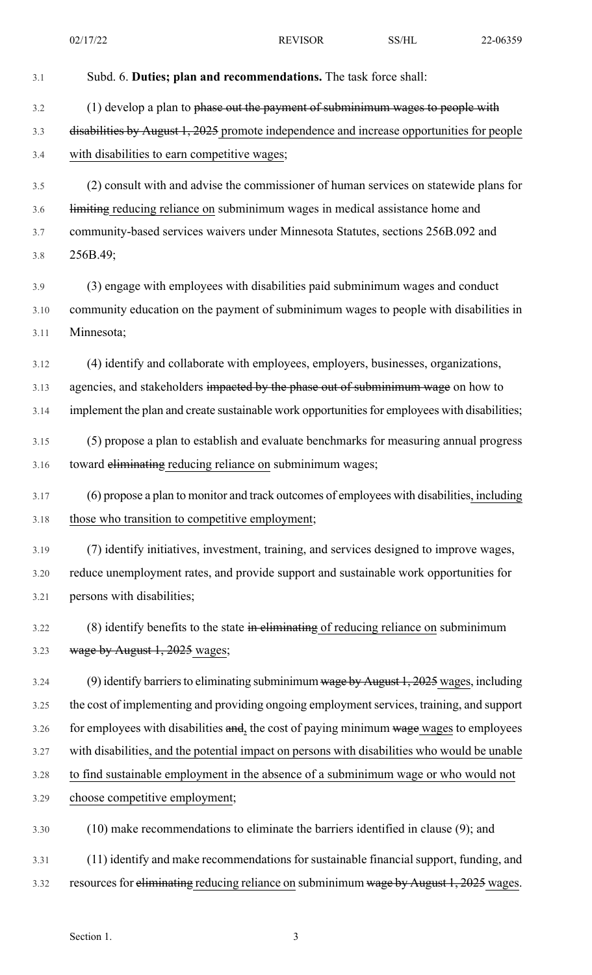02/17/22 REVISOR SS/HL 22-06359

| 3.1  | Subd. 6. Duties; plan and recommendations. The task force shall:                              |
|------|-----------------------------------------------------------------------------------------------|
| 3.2  | (1) develop a plan to phase out the payment of subminimum wages to people with                |
| 3.3  | disabilities by August 1, 2025 promote independence and increase opportunities for people     |
| 3.4  | with disabilities to earn competitive wages;                                                  |
| 3.5  | (2) consult with and advise the commissioner of human services on statewide plans for         |
| 3.6  | limiting reducing reliance on subminimum wages in medical assistance home and                 |
| 3.7  | community-based services waivers under Minnesota Statutes, sections 256B.092 and              |
| 3.8  | 256B.49;                                                                                      |
| 3.9  | (3) engage with employees with disabilities paid subminimum wages and conduct                 |
| 3.10 | community education on the payment of subminimum wages to people with disabilities in         |
| 3.11 | Minnesota;                                                                                    |
| 3.12 | (4) identify and collaborate with employees, employers, businesses, organizations,            |
| 3.13 | agencies, and stakeholders impacted by the phase out of subminimum wage on how to             |
| 3.14 | implement the plan and create sustainable work opportunities for employees with disabilities; |
| 3.15 | (5) propose a plan to establish and evaluate benchmarks for measuring annual progress         |
| 3.16 | toward eliminating reducing reliance on subminimum wages;                                     |
| 3.17 | (6) propose a plan to monitor and track outcomes of employees with disabilities, including    |
| 3.18 | those who transition to competitive employment;                                               |
| 3.19 | (7) identify initiatives, investment, training, and services designed to improve wages,       |
| 3.20 | reduce unemployment rates, and provide support and sustainable work opportunities for         |
| 3.21 | persons with disabilities;                                                                    |
| 3.22 | $(8)$ identify benefits to the state in eliminating of reducing reliance on subminimum        |
| 3.23 | wage by August 1, 2025 wages;                                                                 |
| 3.24 | (9) identify barriers to eliminating subminimum wage by August 1, 2025 wages, including       |
| 3.25 | the cost of implementing and providing ongoing employment services, training, and support     |
| 3.26 | for employees with disabilities and, the cost of paying minimum wage wages to employees       |
| 3.27 | with disabilities, and the potential impact on persons with disabilities who would be unable  |
| 3.28 | to find sustainable employment in the absence of a subminimum wage or who would not           |
| 3.29 | choose competitive employment;                                                                |
| 3.30 | $(10)$ make recommendations to eliminate the barriers identified in clause $(9)$ ; and        |
| 3.31 | (11) identify and make recommendations for sustainable financial support, funding, and        |
| 3.32 | resources for eliminating reducing reliance on subminimum wage by August 1, 2025 wages.       |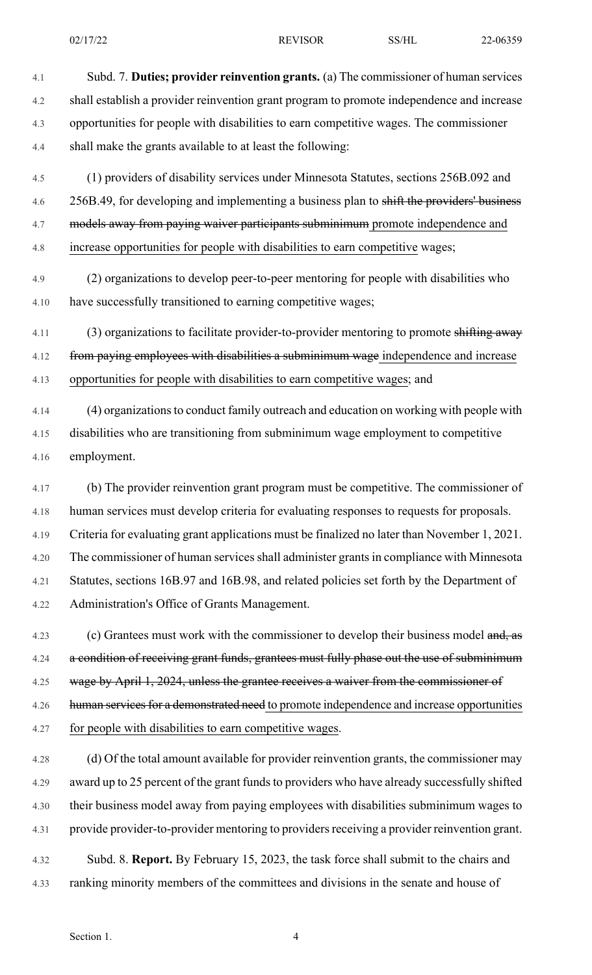4.1 Subd. 7. **Duties; provider reinvention grants.** (a) The commissioner of human services 4.2 shall establish a provider reinvention grant program to promote independence and increase 4.3 opportunities for people with disabilities to earn competitive wages. The commissioner 4.4 shall make the grants available to at least the following:

4.5 (1) providers of disability services under Minnesota Statutes, sections 256B.092 and 4.6 256B.49, for developing and implementing a business plan to shift the providers' business 4.7 models away from paying waiver participants subminimum promote independence and 4.8 increase opportunities for people with disabilities to earn competitive wages;

4.9 (2) organizations to develop peer-to-peer mentoring for people with disabilities who 4.10 have successfully transitioned to earning competitive wages;

4.11 (3) organizations to facilitate provider-to-provider mentoring to promote shifting away 4.12 from paying employees with disabilities a subminimum wage independence and increase 4.13 opportunities for people with disabilities to earn competitive wages; and

4.14 (4) organizationsto conduct family outreach and education on working with people with 4.15 disabilities who are transitioning from subminimum wage employment to competitive 4.16 employment.

4.17 (b) The provider reinvention grant program must be competitive. The commissioner of 4.18 human services must develop criteria for evaluating responses to requests for proposals. 4.19 Criteria for evaluating grant applications must be finalized no later than November 1, 2021. 4.20 The commissioner of human services shall administer grants in compliance with Minnesota 4.21 Statutes, sections 16B.97 and 16B.98, and related policies set forth by the Department of 4.22 Administration's Office of Grants Management.

4.23 (c) Grantees must work with the commissioner to develop their business model and, as 4.24 a condition of receiving grant funds, grantees must fully phase out the use of subminimum 4.25 wage by April 1, 2024, unless the grantee receives a waiver from the commissioner of 4.26 human services for a demonstrated need to promote independence and increase opportunities 4.27 for people with disabilities to earn competitive wages.

4.28 (d) Of the total amount available for provider reinvention grants, the commissioner may 4.29 award up to 25 percent of the grant funds to providers who have already successfully shifted 4.30 their business model away from paying employees with disabilities subminimum wages to 4.31 provide provider-to-provider mentoring to providersreceiving a provider reinvention grant.

4.32 Subd. 8. **Report.** By February 15, 2023, the task force shall submit to the chairs and 4.33 ranking minority members of the committees and divisions in the senate and house of